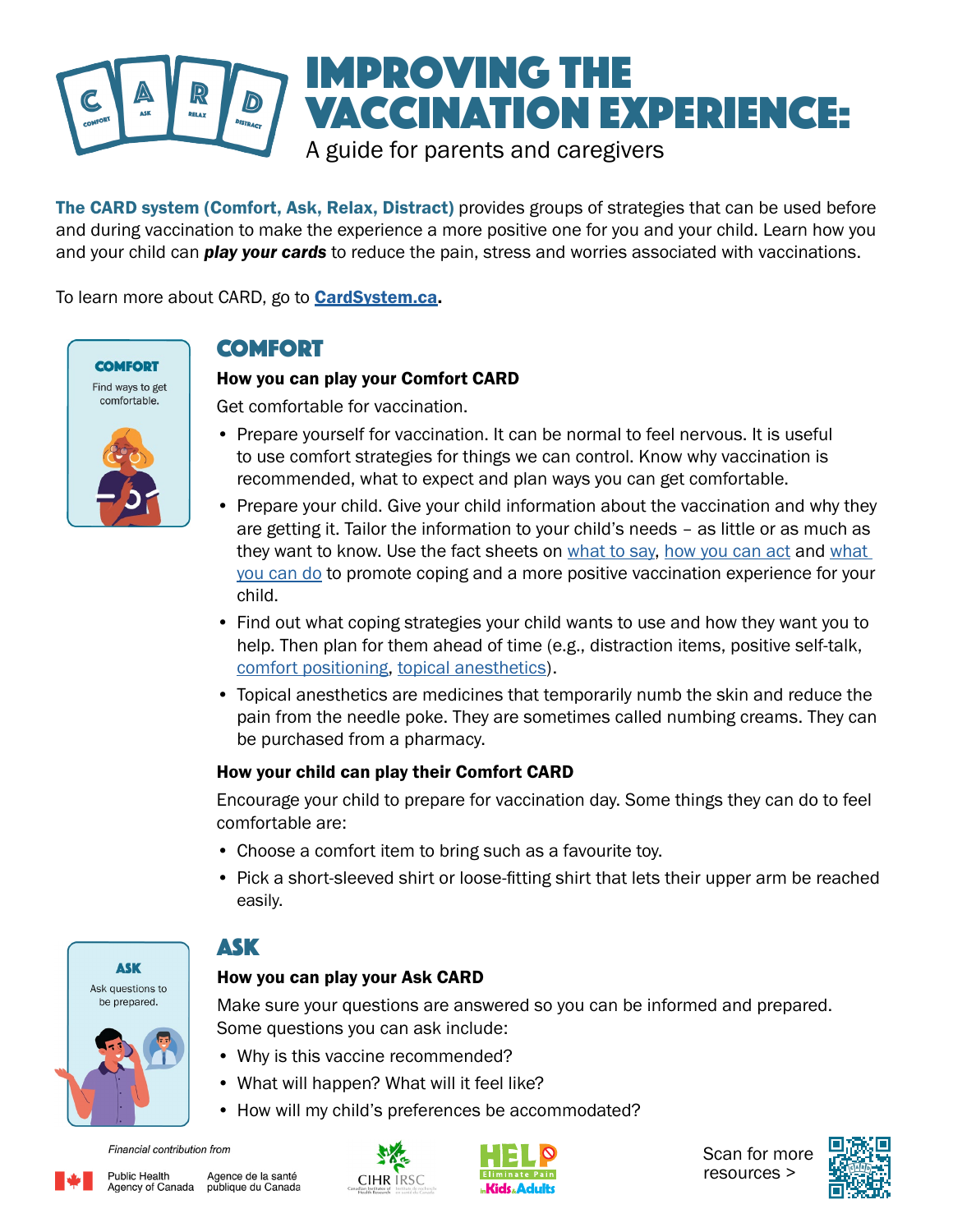

The CARD system (Comfort, Ask, Relax, Distract) provides groups of strategies that can be used before and during vaccination to make the experience a more positive one for you and your child. Learn how you and your child can *play your cards* to reduce the pain, stress and worries associated with vaccinations.

To learn more about CARD, go to **[CardSystem.ca](http://www.CardSystem.ca).** 



## COMFORT

### How you can play your Comfort CARD

Get comfortable for vaccination.

- Prepare yourself for vaccination. It can be normal to feel nervous. It is useful to use comfort strategies for things we can control. Know why vaccination is recommended, what to expect and plan ways you can get comfortable.
- Prepare your child. Give your child information about the vaccination and why they are getting it. Tailor the information to your child's needs – as little or as much as they want to know. Use the fact sheets on [what to say,](https://assets.aboutkidshealth.ca/AKHAssets/CARD_Parents_WhatYouCanSay.pdf) [how you can act](https://assets.aboutkidshealth.ca/AKHAssets/CARD_Parents_HowYouCanAct.pdf) and what [you can do](https://assets.aboutkidshealth.ca/AKHAssets/CARD_Parents_WhatYouCanDo.pdf) to promote coping and a more positive vaccination experience for your child.
- Find out what coping strategies your child wants to use and how they want you to help. Then plan for them ahead of time (e.g., distraction items, positive self-talk, [comfort positioning,](https://assets.aboutkidshealth.ca/AKHAssets/CARD_Comfort_Positions.pdf) [topical anesthetics](https://assets.aboutkidshealth.ca/AKHAssets/CARD_Numbing_Cream.pdf)).
- Topical anesthetics are medicines that temporarily numb the skin and reduce the pain from the needle poke. They are sometimes called numbing creams. They can be purchased from a pharmacy.

#### How your child can play their Comfort CARD

Encourage your child to prepare for vaccination day. Some things they can do to feel comfortable are:

- Choose a comfort item to bring such as a favourite toy.
- Pick a short-sleeved shirt or loose-fitting shirt that lets their upper arm be reached easily.



## Ask

### How you can play your Ask CARD

Make sure your questions are answered so you can be informed and prepared. Some questions you can ask include:

- Why is this vaccine recommended?
- What will happen? What will it feel like?
- How will my child's preferences be accommodated?

Financial contribution from